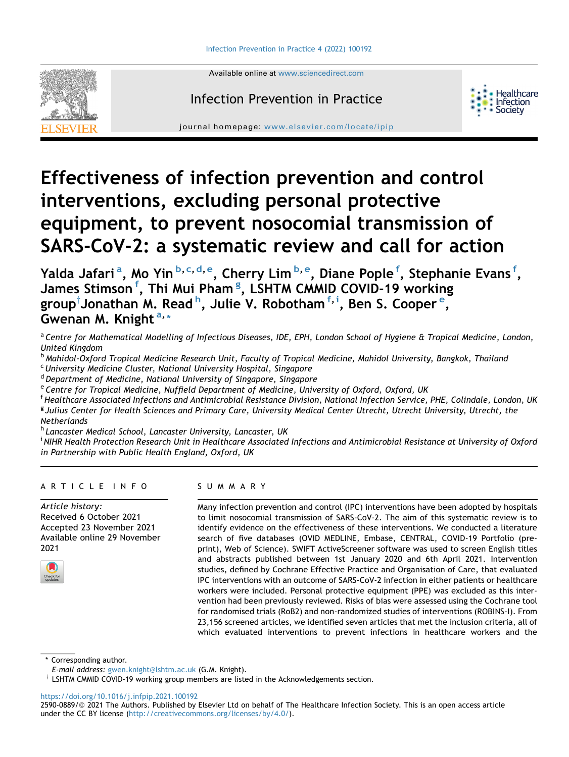

Available online at [www.sciencedirect.com](www.sciencedirect.com/science/journal/25900889)

# Infection Prevention in Practice



journal homepage: <www.elsevier.com/locate/ipip>

# Effectiveness of infection prevention and control interventions, excluding personal protective equipment, to prevent nosocomial transmission of SARS-CoV-2: a systematic review and call for action

Y[a](#page-0-0)lda Jafari<sup>a</sup>, Mo Yin<sup>[b,](#page-0-1) [c](#page-0-2), [d,](#page-0-3) [e](#page-0-4)</sup>, Cherry Lim<sup>b, e</sup>, Diane Pople <sup>[f](#page-0-5)</sup>, Stephanie Evans <sup>f</sup>, James Stimson <sup>[f](#page-0-5)</sup>, Thi Mui Pham <sup>[g](#page-0-6)</sup>, LSHTM CMMID COVID-19 working group $^\dagger$  $^\dagger$  $^\dagger$ Jonat[h](#page-0-7)an M. Read  $^{\mathsf{h}}$ , Jul[i](#page-0-8)e V. Robotham  $^{\mathsf{f},\mathsf{i}}$ , Ben S. Cooper  $^{\mathsf{e}},$ Gwen[a](#page-0-0)n M. Knight<sup>a,[\\*](#page-0-9)</sup>

<span id="page-0-0"></span>a Centre for Mathematical Modelling of Infectious Diseases, IDE, EPH, London School of Hygiene & Tropical Medicine, London, United Kingdom

<span id="page-0-1"></span>**b Mahidol-Oxford Tropical Medicine Research Unit, Faculty of Tropical Medicine, Mahidol University, Bangkok, Thailand** 

<span id="page-0-2"></span><sup>c</sup> University Medicine Cluster, National University Hospital, Singapore

<span id="page-0-3"></span><sup>d</sup> Department of Medicine, National University of Singapore, Singapore

<span id="page-0-4"></span><sup>e</sup> Centre for Tropical Medicine, Nuffield Department of Medicine, University of Oxford, Oxford, UK

<span id="page-0-6"></span><span id="page-0-5"></span><sup>f</sup> Healthcare Associated Infections and Antimicrobial Resistance Division, National Infection Service, PHE, Colindale, London, UK <sup>g</sup> Julius Center for Health Sciences and Primary Care, University Medical Center Utrecht, Utrecht University, Utrecht, the Netherlands

<span id="page-0-7"></span>h Lancaster Medical School, Lancaster University, Lancaster, UK

<span id="page-0-8"></span><sup>i</sup> NIHR Health Protection Research Unit in Healthcare Associated Infections and Antimicrobial Resistance at University of Oxfora in Partnership with Public Health England, Oxford, UK

# ARTICLE INFO

Article history: Received 6 October 2021 Accepted 23 November 2021 Available online 29 November 2021



# SUMMARY

Many infection prevention and control (IPC) interventions have been adopted by hospitals to limit nosocomial transmission of SARS-CoV-2. The aim of this systematic review is to identify evidence on the effectiveness of these interventions. We conducted a literature search of five databases (OVID MEDLINE, Embase, CENTRAL, COVID-19 Portfolio (preprint), Web of Science). SWIFT ActiveScreener software was used to screen English titles and abstracts published between 1st January 2020 and 6th April 2021. Intervention studies, defined by Cochrane Effective Practice and Organisation of Care, that evaluated IPC interventions with an outcome of SARS-CoV-2 infection in either patients or healthcare workers were included. Personal protective equipment (PPE) was excluded as this intervention had been previously reviewed. Risks of bias were assessed using the Cochrane tool for randomised trials (RoB2) and non-randomized studies of interventions (ROBINS-I). From 23,156 screened articles, we identified seven articles that met the inclusion criteria, all of which evaluated interventions to prevent infections in healthcare workers and the

<span id="page-0-9"></span>\* Corresponding author.

 $\dagger$  LSHTM CMMID COVID-19 working group members are listed in the Acknowledgements section.

<https://doi.org/10.1016/j.infpip.2021.100192>

2590-0889/@ 2021 The Authors. Published by Elsevier Ltd on behalf of The Healthcare Infection Society. This is an open access article under the CC BY license ([http://creativecommons.org/licenses/by/4.0/\)](http://creativecommons.org/licenses/by/4.0/).

E-mail address: [gwen.knight@lshtm.ac.uk](mailto:gwen.knight@lshtm.ac.uk) (G.M. Knight).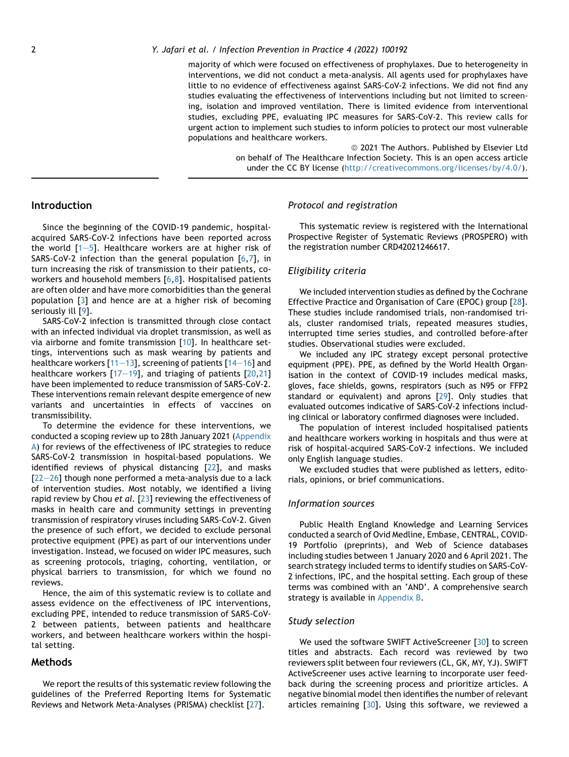#### 2 Y. Jafari et al. / Infection Prevention in Practice 4 (2022) 100192

majority of which were focused on effectiveness of prophylaxes. Due to heterogeneity in interventions, we did not conduct a meta-analysis. All agents used for prophylaxes have little to no evidence of effectiveness against SARS-CoV-2 infections. We did not find any studies evaluating the effectiveness of interventions including but not limited to screening, isolation and improved ventilation. There is limited evidence from interventional studies, excluding PPE, evaluating IPC measures for SARS-CoV-2. This review calls for urgent action to implement such studies to inform policies to protect our most vulnerable populations and healthcare workers.

> <sup>©</sup> 2021 The Authors. Published by Elsevier Ltd on behalf of The Healthcare Infection Society. This is an open access article under the CC BY license (<http://creativecommons.org/licenses/by/4.0/>).

# **Introduction**

Since the beginning of the COVID-19 pandemic, hospitalacquired SARS-CoV-2 infections have been reported across the world  $[1-5]$  $[1-5]$  $[1-5]$  $[1-5]$  $[1-5]$ . Healthcare workers are at higher risk of SARS-CoV-2 infection than the general population [\[6](#page-9-1),[7](#page-9-2)], in turn increasing the risk of transmission to their patients, coworkers and household members [[6](#page-9-1),[8](#page-9-3)]. Hospitalised patients are often older and have more comorbidities than the general population [\[3](#page-9-4)] and hence are at a higher risk of becoming seriously ill [[9](#page-9-5)].

SARS-CoV-2 infection is transmitted through close contact with an infected individual via droplet transmission, as well as via airborne and fomite transmission [[10](#page-9-6)]. In healthcare settings, interventions such as mask wearing by patients and healthcare workers [\[11](#page-9-7)–[13\]](#page-9-7), screening of patients [\[14](#page-9-8)–[16\]](#page-9-8) and healthcare workers  $[17-19]$  $[17-19]$  $[17-19]$ , and triaging of patients  $[20,21]$  $[20,21]$  $[20,21]$ have been implemented to reduce transmission of SARS-CoV-2. These interventions remain relevant despite emergence of new variants and uncertainties in effects of vaccines on transmissibility.

To determine the evidence for these interventions, we conducted a scoping review up to 28th January 2021 (Appendix A) for reviews of the effectiveness of IPC strategies to reduce SARS-CoV-2 transmission in hospital-based populations. We identified reviews of physical distancing [\[22](#page-10-2)], and masks  $[22-26]$  $[22-26]$  $[22-26]$  though none performed a meta-analysis due to a lack of intervention studies. Most notably, we identified a living rapid review by Chou et al. [\[23\]](#page-10-3) reviewing the effectiveness of masks in health care and community settings in preventing transmission of respiratory viruses including SARS-CoV-2. Given the presence of such effort, we decided to exclude personal protective equipment (PPE) as part of our interventions under investigation. Instead, we focused on wider IPC measures, such as screening protocols, triaging, cohorting, ventilation, or physical barriers to transmission, for which we found no reviews.

Hence, the aim of this systematic review is to collate and assess evidence on the effectiveness of IPC interventions, excluding PPE, intended to reduce transmission of SARS-CoV-2 between patients, between patients and healthcare workers, and between healthcare workers within the hospital setting.

#### Methods

We report the results of this systematic review following the guidelines of the Preferred Reporting Items for Systematic Reviews and Network Meta-Analyses (PRISMA) checklist [\[27\]](#page-10-4).

# Protocol and registration

This systematic review is registered with the International Prospective Register of Systematic Reviews (PROSPERO) with the registration number CRD42021246617.

# Eligibility criteria

We included intervention studies as defined by the Cochrane Effective Practice and Organisation of Care (EPOC) group [[28](#page-10-5)]. These studies include randomised trials, non-randomised trials, cluster randomised trials, repeated measures studies, interrupted time series studies, and controlled before-after studies. Observational studies were excluded.

We included any IPC strategy except personal protective equipment (PPE). PPE, as defined by the World Health Organisation in the context of COVID-19 includes medical masks, gloves, face shields, gowns, respirators (such as N95 or FFP2 standard or equivalent) and aprons [[29\]](#page-10-6). Only studies that evaluated outcomes indicative of SARS-CoV-2 infections including clinical or laboratory confirmed diagnoses were included.

The population of interest included hospitalised patients and healthcare workers working in hospitals and thus were at risk of hospital-acquired SARS-CoV-2 infections. We included only English language studies.

We excluded studies that were published as letters, editorials, opinions, or brief communications.

#### Information sources

Public Health England Knowledge and Learning Services conducted a search of Ovid Medline, Embase, CENTRAL, COVID-19 Portfolio (preprints), and Web of Science databases including studies between 1 January 2020 and 6 April 2021. The search strategy included terms to identify studies on SARS-CoV-2 infections, IPC, and the hospital setting. Each group of these terms was combined with an 'AND'. A comprehensive search strategy is available in Appendix B.

# Study selection

We used the software SWIFT ActiveScreener [\[30\]](#page-10-7) to screen titles and abstracts. Each record was reviewed by two reviewers split between four reviewers (CL, GK, MY, YJ). SWIFT ActiveScreener uses active learning to incorporate user feedback during the screening process and prioritize articles. A negative binomial model then identifies the number of relevant articles remaining  $\left[30\right]$ . Using this software, we reviewed a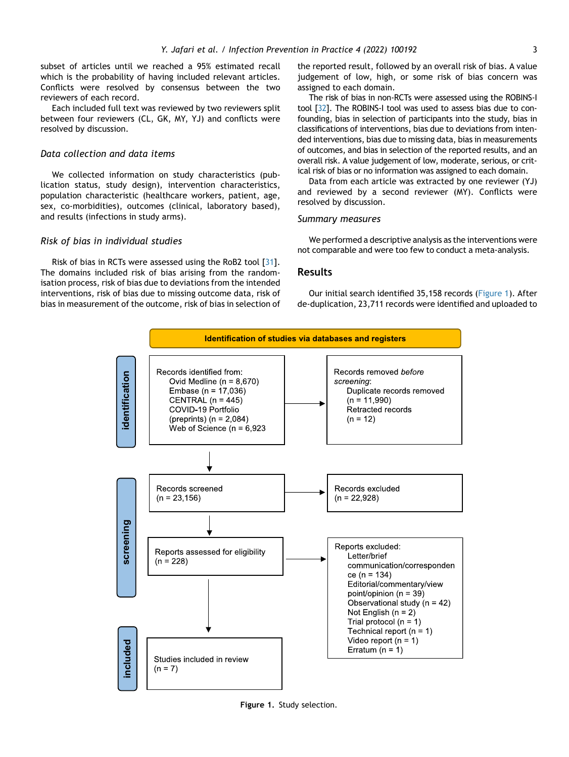subset of articles until we reached a 95% estimated recall which is the probability of having included relevant articles. Conflicts were resolved by consensus between the two reviewers of each record.

Each included full text was reviewed by two reviewers split between four reviewers (CL, GK, MY, YJ) and conflicts were resolved by discussion.

#### Data collection and data items

We collected information on study characteristics (publication status, study design), intervention characteristics, population characteristic (healthcare workers, patient, age, sex, co-morbidities), outcomes (clinical, laboratory based), and results (infections in study arms).

#### Risk of bias in individual studies

<span id="page-2-0"></span>Risk of bias in RCTs were assessed using the RoB2 tool [[31](#page-10-8)]. The domains included risk of bias arising from the randomisation process, risk of bias due to deviations from the intended interventions, risk of bias due to missing outcome data, risk of bias in measurement of the outcome, risk of bias in selection of the reported result, followed by an overall risk of bias. A value judgement of low, high, or some risk of bias concern was assigned to each domain.

The risk of bias in non-RCTs were assessed using the ROBINS-I tool [[32\]](#page-10-9). The ROBINS-I tool was used to assess bias due to confounding, bias in selection of participants into the study, bias in classifications of interventions, bias due to deviations from intended interventions, bias due to missing data, bias in measurements of outcomes, and bias in selection of the reported results, and an overall risk. A value judgement of low, moderate, serious, or critical risk of bias or no information was assigned to each domain.

Data from each article was extracted by one reviewer (YJ) and reviewed by a second reviewer (MY). Conflicts were resolved by discussion.

#### Summary measures

We performed a descriptive analysis as the interventions were not comparable and were too few to conduct a meta-analysis.

# Results

Our initial search identified 35,158 records ([Figure 1\)](#page-2-0). After de-duplication, 23,711 records were identified and uploaded to



Figure 1. Study selection.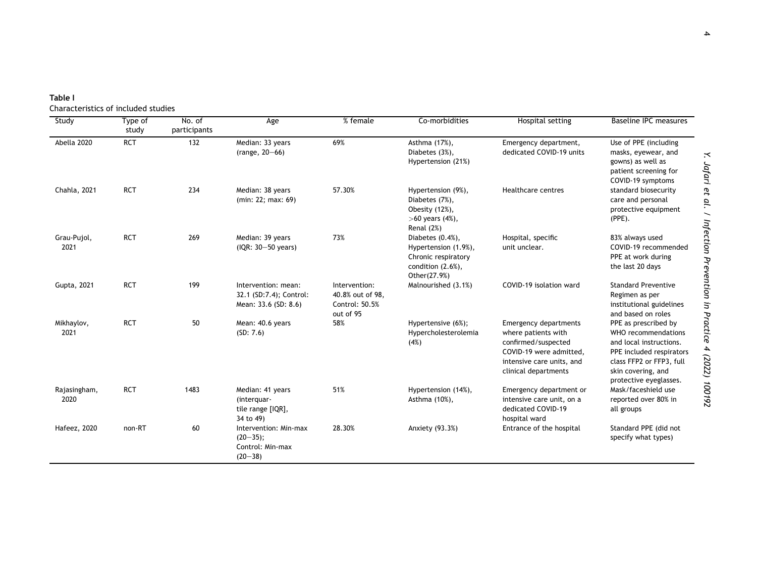<span id="page-3-0"></span>

Characteristics of included studies

| Study                | Type of<br>study | No. of<br>participants | Age                                                                     | % female                                                         | Co-morbidities                                                                                              | Hospital setting                                                                                                                                           | <b>Baseline IPC measures</b>                                                                                                                                                   |
|----------------------|------------------|------------------------|-------------------------------------------------------------------------|------------------------------------------------------------------|-------------------------------------------------------------------------------------------------------------|------------------------------------------------------------------------------------------------------------------------------------------------------------|--------------------------------------------------------------------------------------------------------------------------------------------------------------------------------|
| Abella 2020          | <b>RCT</b>       | 132                    | Median: 33 years<br>(range, $20 - 66$ )                                 | 69%                                                              | Asthma (17%),<br>Diabetes (3%),<br>Hypertension (21%)                                                       | Emergency department,<br>dedicated COVID-19 units                                                                                                          | Use of PPE (including<br>masks, eyewear, and<br>gowns) as well as<br>patient screening for<br>COVID-19 symptoms                                                                |
| Chahla, 2021         | <b>RCT</b>       | 234                    | Median: 38 years<br>(min: 22: max: 69)                                  | 57.30%                                                           | Hypertension (9%),<br>Diabetes (7%),<br>Obesity (12%),<br>$>60$ years $(4%)$ ,<br>Renal (2%)                | Healthcare centres                                                                                                                                         | standard biosecurity<br>care and personal<br>protective equipment<br>$(PPE)$ .                                                                                                 |
| Grau-Pujol,<br>2021  | <b>RCT</b>       | 269                    | Median: 39 years<br>(IQR: 30-50 years)                                  | 73%                                                              | Diabetes $(0.4%)$ ,<br>Hypertension (1.9%),<br>Chronic respiratory<br>condition $(2.6\%)$ ,<br>Other(27.9%) | Hospital, specific<br>unit unclear.                                                                                                                        | 83% always used<br>COVID-19 recommended<br>PPE at work during<br>the last 20 days                                                                                              |
| Gupta, 2021          | <b>RCT</b>       | 199                    | Intervention: mean:<br>32.1 (SD:7.4); Control:<br>Mean: 33.6 (SD: 8.6)  | Intervention:<br>40.8% out of 98,<br>Control: 50.5%<br>out of 95 | Malnourished (3.1%)                                                                                         | COVID-19 isolation ward                                                                                                                                    | <b>Standard Preventive</b><br>Regimen as per<br>institutional guidelines<br>and based on roles                                                                                 |
| Mikhaylov,<br>2021   | <b>RCT</b>       | 50                     | Mean: 40.6 years<br>(SD: 7.6)                                           | 58%                                                              | Hypertensive (6%);<br>Hypercholesterolemia<br>(4%)                                                          | <b>Emergency departments</b><br>where patients with<br>confirmed/suspected<br>COVID-19 were admitted,<br>intensive care units, and<br>clinical departments | PPE as prescribed by<br>WHO recommendations<br>and local instructions.<br>PPE included respirators<br>class FFP2 or FFP3, full<br>skin covering, and<br>protective eyeglasses. |
| Rajasingham,<br>2020 | <b>RCT</b>       | 1483                   | Median: 41 years<br>(interguar-<br>tile range [IQR],<br>34 to 49)       | 51%                                                              | Hypertension (14%),<br>Asthma (10%),                                                                        | Emergency department or<br>intensive care unit, on a<br>dedicated COVID-19<br>hospital ward                                                                | Mask/faceshield use<br>reported over 80% in<br>all groups                                                                                                                      |
| Hafeez, 2020         | non-RT           | 60                     | Intervention: Min-max<br>$(20-35)$ ;<br>Control: Min-max<br>$(20 - 38)$ | 28.30%                                                           | Anxiety (93.3%)                                                                                             | Entrance of the hospital                                                                                                                                   | Standard PPE (did not<br>specify what types)                                                                                                                                   |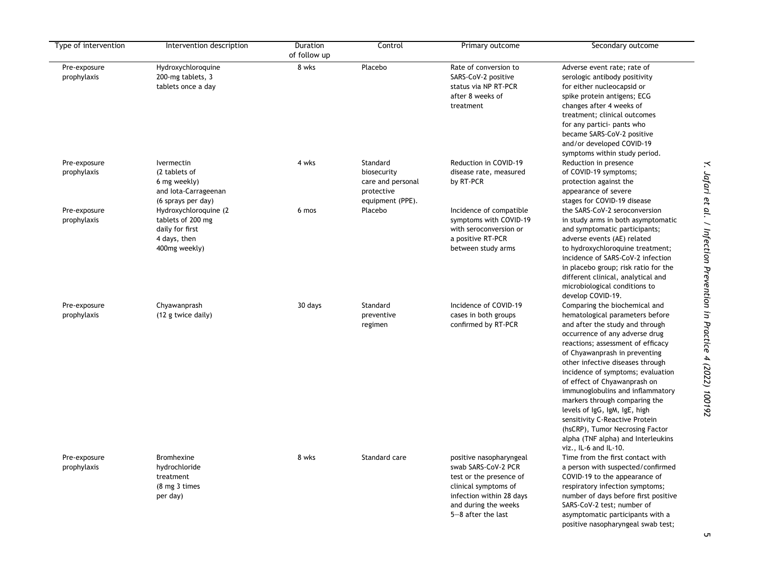| Type of intervention        | Intervention description                                                                       | Duration<br>of follow up | Control                                                                        | Primary outcome                                                                                                                                                             | Secondary outcome                                                                                                                                                                                                                                                                                                                                                                                                                                                                                                                                              |
|-----------------------------|------------------------------------------------------------------------------------------------|--------------------------|--------------------------------------------------------------------------------|-----------------------------------------------------------------------------------------------------------------------------------------------------------------------------|----------------------------------------------------------------------------------------------------------------------------------------------------------------------------------------------------------------------------------------------------------------------------------------------------------------------------------------------------------------------------------------------------------------------------------------------------------------------------------------------------------------------------------------------------------------|
| Pre-exposure<br>prophylaxis | Hydroxychloroquine<br>200-mg tablets, 3<br>tablets once a day                                  | 8 wks                    | Placebo                                                                        | Rate of conversion to<br>SARS-CoV-2 positive<br>status via NP RT-PCR<br>after 8 weeks of<br>treatment                                                                       | Adverse event rate; rate of<br>serologic antibody positivity<br>for either nucleocapsid or<br>spike protein antigens; ECG<br>changes after 4 weeks of<br>treatment; clinical outcomes<br>for any partici- pants who<br>became SARS-CoV-2 positive<br>and/or developed COVID-19<br>symptoms within study period.                                                                                                                                                                                                                                                |
| Pre-exposure<br>prophylaxis | Ivermectin<br>(2 tablets of<br>6 mg weekly)<br>and lota-Carrageenan<br>(6 sprays per day)      | 4 wks                    | Standard<br>biosecurity<br>care and personal<br>protective<br>equipment (PPE). | Reduction in COVID-19<br>disease rate, measured<br>by RT-PCR                                                                                                                | Reduction in presence<br>of COVID-19 symptoms;<br>protection against the<br>appearance of severe<br>stages for COVID-19 disease                                                                                                                                                                                                                                                                                                                                                                                                                                |
| Pre-exposure<br>prophylaxis | Hydroxychloroquine (2<br>tablets of 200 mg<br>daily for first<br>4 days, then<br>400mg weekly) | 6 mos                    | Placebo                                                                        | Incidence of compatible<br>symptoms with COVID-19<br>with seroconversion or<br>a positive RT-PCR<br>between study arms                                                      | the SARS-CoV-2 seroconversion<br>in study arms in both asymptomatic<br>and symptomatic participants;<br>adverse events (AE) related<br>to hydroxychloroquine treatment;<br>incidence of SARS-CoV-2 infection<br>in placebo group; risk ratio for the<br>different clinical, analytical and<br>microbiological conditions to<br>develop COVID-19.                                                                                                                                                                                                               |
| Pre-exposure<br>prophylaxis | Chyawanprash<br>(12 g twice daily)                                                             | 30 days                  | Standard<br>preventive<br>regimen                                              | Incidence of COVID-19<br>cases in both groups<br>confirmed by RT-PCR                                                                                                        | Comparing the biochemical and<br>hematological parameters before<br>and after the study and through<br>occurrence of any adverse drug<br>reactions; assessment of efficacy<br>of Chyawanprash in preventing<br>other infective diseases through<br>incidence of symptoms; evaluation<br>of effect of Chyawanprash on<br>immunoglobulins and inflammatory<br>markers through comparing the<br>levels of IgG, IgM, IgE, high<br>sensitivity C-Reactive Protein<br>(hsCRP), Tumor Necrosing Factor<br>alpha (TNF alpha) and Interleukins<br>viz., IL-6 and IL-10. |
| Pre-exposure<br>prophylaxis | Bromhexine<br>hydrochloride<br>treatment<br>(8 mg 3 times<br>per day)                          | 8 wks                    | Standard care                                                                  | positive nasopharyngeal<br>swab SARS-CoV-2 PCR<br>test or the presence of<br>clinical symptoms of<br>infection within 28 days<br>and during the weeks<br>5-8 after the last | Time from the first contact with<br>a person with suspected/confirmed<br>COVID-19 to the appearance of<br>respiratory infection symptoms;<br>number of days before first positive<br>SARS-CoV-2 test; number of<br>asymptomatic participants with a<br>positive nasopharyngeal swab test;                                                                                                                                                                                                                                                                      |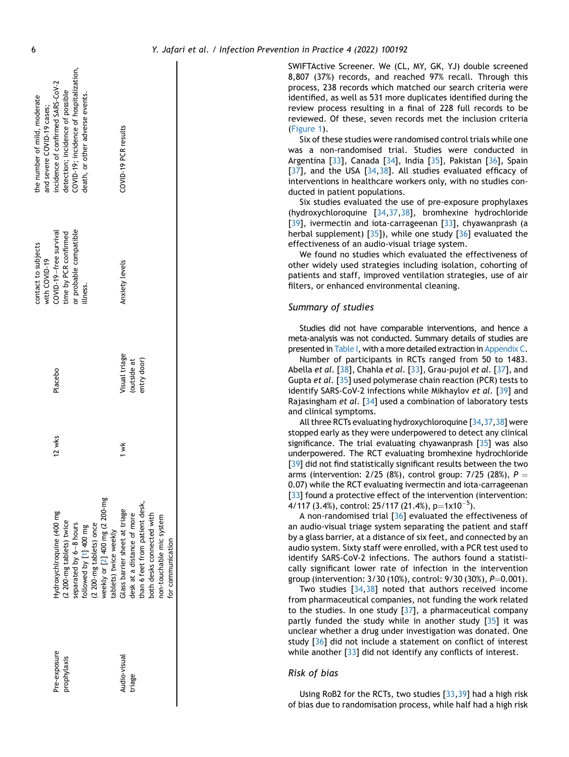|              |                                |           |               | contact to subjects<br>with COVID-19 | the number of mild, moderate<br>and severe COVID-19 cases; |
|--------------|--------------------------------|-----------|---------------|--------------------------------------|------------------------------------------------------------|
| Pre-exposure | Hydroxychlroquine (400 mg      | 12 $w$ ks | Placebo       | COVID-19-free survival               | incidence of confirmed SARS-CoV-2                          |
| prophylaxis  | (2 200-mg tablets) twice       |           |               | time by PCR confirmed                | detection; incidence of possible                           |
|              | separated by 6-8 hours         |           |               | or probable compatible               | COVID-19; incidence of hospitalization,                    |
|              | followed by [1] 400 mg         |           |               | illness.                             | death, or other adverse events.                            |
|              | (2 200-mg tablets) once        |           |               |                                      |                                                            |
|              | weekly or [2] 400 mg (2 200-mg |           |               |                                      |                                                            |
|              | tablets) twice weekly          |           |               |                                      |                                                            |
| Audio-visual | Glass barrier sheet at triage  | ₹<br>≯    | Visual triage | Anxiety levels                       | COVID-19 PCR results                                       |
| triage       | desk at a distance of more     |           | (outside at   |                                      |                                                            |
|              | than 6 feet from patient desk, |           | entry door)   |                                      |                                                            |
|              | both desks connected with      |           |               |                                      |                                                            |
|              | non-touchable mic system       |           |               |                                      |                                                            |
|              | for communication              |           |               |                                      |                                                            |
|              |                                |           |               |                                      |                                                            |
|              |                                |           |               |                                      |                                                            |

SWIFTActive Screener. We (CL, MY, GK, YJ) double screened 8,807 (37%) records, and reached 97% recall. Through this process, 238 records which matched our search criteria were identified, as well as 531 more duplicates identified during the review process resulting in a final of 228 full records to be reviewed. Of these, seven records met the inclusion criteria [\(Figure 1\)](#page-2-0).

Six of these studies were randomised control trials while one was a non-randomised trial. Studies were conducted in Argentina [[33](#page-10-10)], Canada [\[34\]](#page-10-11), India [\[35](#page-10-12)], Pakistan [[36\]](#page-10-13), Spain [\[37](#page-10-14)], and the USA [[34](#page-10-11)[,38\]](#page-10-15). All studies evaluated efficacy of interventions in healthcare workers only, with no studies conducted in patient populations.

Six studies evaluated the use of pre-exposure prophylaxes (hydroxychloroquine [[34](#page-10-11)[,37,](#page-10-14)[38](#page-10-15)], bromhexine hydrochloride [\[39](#page-10-16)], ivermectin and iota-carrageenan [\[33](#page-10-10)], chyawanprash (a herbal supplement)  $[35]$ , while one study  $[36]$  $[36]$  evaluated the effectiveness of an audio-visual triage system.

We found no studies which evaluated the effectiveness of other widely used strategies including isolation, cohorting of patients and staff, improved ventilation strategies, use of air filters, or enhanced environmental cleaning.

#### Summary of studies

Studies did not have comparable interventions, and hence a meta-analysis was not conducted. Summary details of studies are presented in [Table I,](#page-3-0) with a more detailed extraction in Appendix C.

Number of participants in RCTs ranged from 50 to 1483. Abella et al.  $[38]$  $[38]$  $[38]$ , Chahla et al.  $[33]$ , Grau-pujol et al.  $[37]$ , and Gupta et al. [\[35\]](#page-10-12) used polymerase chain reaction (PCR) tests to identify SARS-CoV-2 infections while Mikhaylov et al. [[39](#page-10-16)] and Rajasingham et al. [[34](#page-10-11)] used a combination of laboratory tests and clinical symptoms.

All three RCTs evaluating hydroxychloroquine [\[34,](#page-10-11)[37,](#page-10-14)[38](#page-10-15)] were stopped early as they were underpowered to detect any clinical significance. The trial evaluating chyawanprash [\[35](#page-10-12)] was also underpowered. The RCT evaluating bromhexine hydrochloride [\[39](#page-10-16)] did not find statistically significant results between the two arms (intervention: 2/25 (8%), control group: 7/25 (28%),  $P =$ 0.07) while the RCT evaluating ivermectin and iota-carrageenan [\[33](#page-10-10)] found a protective effect of the intervention (intervention:  $4/117$  (3.4%), control: 25/117 (21.4%), p=1x10<sup>-5</sup>).

A non-randomised trial [[36](#page-10-13)] evaluated the effectiveness of an audio-visual triage system separating the patient and staff by a glass barrier, at a distance of six feet, and connected by an audio system. Sixty staff were enrolled, with a PCR test used to identify SARS-CoV-2 infections. The authors found a statistically significant lower rate of infection in the intervention group (intervention:  $3/30$  (10%), control:  $9/30$  (30%),  $P=0.001$ ).

Two studies [[34](#page-10-11)[,38\]](#page-10-15) noted that authors received income from pharmaceutical companies, not funding the work related to the studies. In one study  $[37]$  $[37]$ , a pharmaceutical company partly funded the study while in another study  $\left[35\right]$  it was unclear whether a drug under investigation was donated. One study [[36](#page-10-13)] did not include a statement on conflict of interest while another  $[33]$  $[33]$  $[33]$  did not identify any conflicts of interest.

#### Risk of bias

Using RoB2 for the RCTs, two studies [[33](#page-10-10)[,39\]](#page-10-16) had a high risk of bias due to randomisation process, while half had a high risk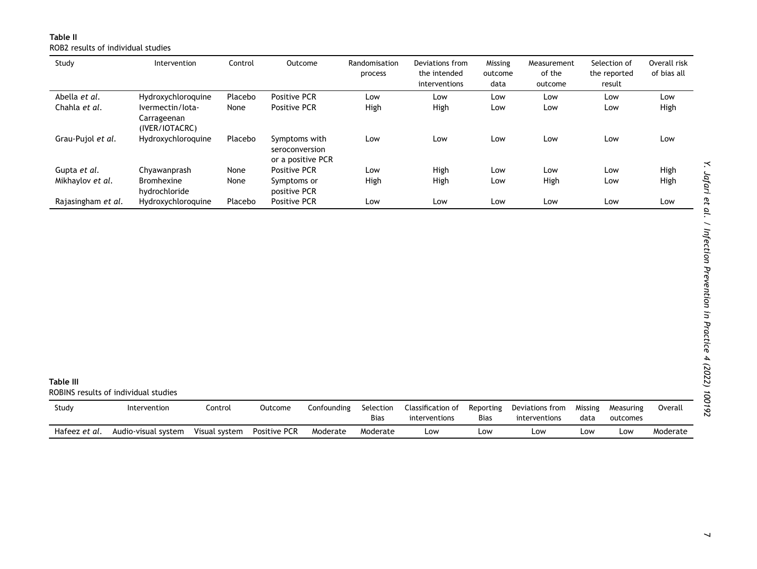Table II ROB2 results of individual studies

<span id="page-6-1"></span><span id="page-6-0"></span>

| Study              | Intervention                                      | Control | Outcome                                              | Randomisation<br>process | Deviations from<br>the intended<br>interventions | Missing<br>outcome<br>data | Measurement<br>of the<br>outcome | Selection of<br>the reported<br>result | Overall risk<br>of bias all |
|--------------------|---------------------------------------------------|---------|------------------------------------------------------|--------------------------|--------------------------------------------------|----------------------------|----------------------------------|----------------------------------------|-----------------------------|
| Abella et al.      | Hydroxychloroquine                                | Placebo | <b>Positive PCR</b>                                  | Low                      | Low                                              | Low                        | Low                              | Low                                    | Low                         |
| Chahla et al.      | Ivermectin/lota-<br>Carrageenan<br>(IVER/IOTACRC) | None    | <b>Positive PCR</b>                                  | High                     | High                                             | Low                        | Low                              | Low                                    | High                        |
| Grau-Pujol et al.  | Hydroxychloroquine                                | Placebo | Symptoms with<br>seroconversion<br>or a positive PCR | Low                      | Low                                              | Low                        | Low                              | Low                                    | Low                         |
| Gupta et al.       | Chyawanprash                                      | None    | <b>Positive PCR</b>                                  | Low                      | High                                             | Low                        | Low                              | Low                                    | High                        |
| Mikhaylov et al.   | <b>Bromhexine</b><br>hydrochloride                | None    | Symptoms or<br>positive PCR                          | High                     | High                                             | Low                        | High                             | Low                                    | High                        |
| Rajasingham et al. | Hydroxychloroquine                                | Placebo | <b>Positive PCR</b>                                  | Low                      | Low                                              | Low                        | Low                              | Low                                    | Low                         |

| <b>Table III</b> | ROBINS results of individual studies |               |                     |             |                          |                                    |                          |                                  |                 |                       |          |
|------------------|--------------------------------------|---------------|---------------------|-------------|--------------------------|------------------------------------|--------------------------|----------------------------------|-----------------|-----------------------|----------|
| Study            | Intervention                         | Control       | Outcome             | Confounding | Selection<br><b>Bias</b> | Classification of<br>interventions | Reporting<br><b>Bias</b> | Deviations from<br>interventions | Missing<br>data | Measuring<br>outcomes | Overall  |
| Hafeez et al.    | Audio-visual system                  | Visual system | <b>Positive PCR</b> | Moderate    | Moderate                 | Low                                | Low                      | Low                              | Low             | Low                   | Moderate |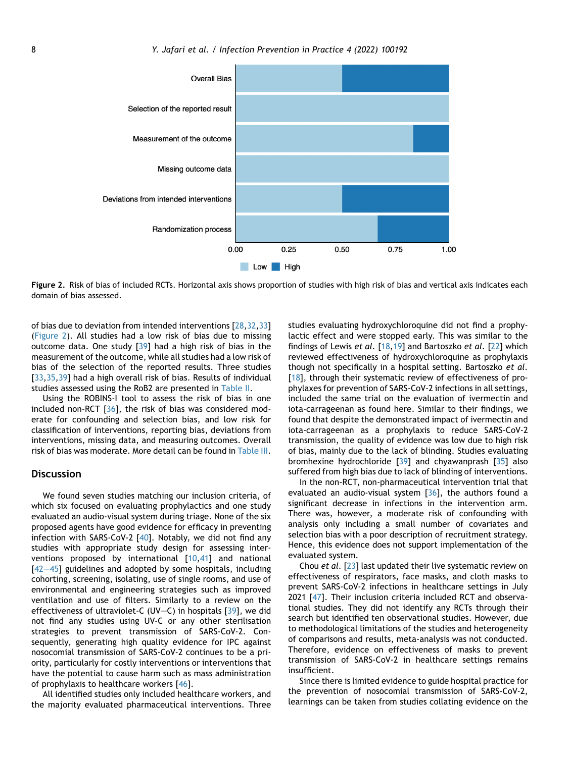<span id="page-7-0"></span>

Figure 2. Risk of bias of included RCTs. Horizontal axis shows proportion of studies with high risk of bias and vertical axis indicates each domain of bias assessed.

of bias due to deviation from intended interventions [\[28](#page-10-5),[32](#page-10-9)[,33\]](#page-10-10) [\(Figure 2\)](#page-7-0). All studies had a low risk of bias due to missing outcome data. One study [\[39\]](#page-10-16) had a high risk of bias in the measurement of the outcome, while all studies had a low risk of bias of the selection of the reported results. Three studies [\[33](#page-10-10),[35](#page-10-12)[,39\]](#page-10-16) had a high overall risk of bias. Results of individual studies assessed using the RoB2 are presented in [Table II.](#page-6-0)

Using the ROBINS-I tool to assess the risk of bias in one included non-RCT [[36\]](#page-10-13), the risk of bias was considered moderate for confounding and selection bias, and low risk for classification of interventions, reporting bias, deviations from interventions, missing data, and measuring outcomes. Overall risk of bias was moderate. More detail can be found in [Table III.](#page-6-1)

# **Discussion**

We found seven studies matching our inclusion criteria, of which six focused on evaluating prophylactics and one study evaluated an audio-visual system during triage. None of the six proposed agents have good evidence for efficacy in preventing infection with SARS-CoV-2 [\[40](#page-10-17)]. Notably, we did not find any studies with appropriate study design for assessing interventions proposed by international [[10](#page-9-6)[,41\]](#page-10-18) and national  $[42-45]$  $[42-45]$  $[42-45]$  guidelines and adopted by some hospitals, including cohorting, screening, isolating, use of single rooms, and use of environmental and engineering strategies such as improved ventilation and use of filters. Similarly to a review on the effectiveness of ultraviolet-C (UV-C) in hospitals  $[39]$ , we did not find any studies using UV-C or any other sterilisation strategies to prevent transmission of SARS-CoV-2. Consequently, generating high quality evidence for IPC against nosocomial transmission of SARS-CoV-2 continues to be a priority, particularly for costly interventions or interventions that have the potential to cause harm such as mass administration of prophylaxis to healthcare workers [\[46](#page-10-20)].

All identified studies only included healthcare workers, and the majority evaluated pharmaceutical interventions. Three studies evaluating hydroxychloroquine did not find a prophylactic effect and were stopped early. This was similar to the findings of Lewis et al. [\[18](#page-9-11),[19](#page-9-12)] and Bartoszko et al. [\[22](#page-10-2)] which reviewed effectiveness of hydroxychloroquine as prophylaxis though not specifically in a hospital setting. Bartoszko et al. [\[18](#page-9-11)], through their systematic review of effectiveness of prophylaxes for prevention of SARS-CoV-2 infections in all settings, included the same trial on the evaluation of ivermectin and iota-carrageenan as found here. Similar to their findings, we found that despite the demonstrated impact of ivermectin and iota-carrageenan as a prophylaxis to reduce SARS-CoV-2 transmission, the quality of evidence was low due to high risk of bias, mainly due to the lack of blinding. Studies evaluating bromhexine hydrochloride  $\left[39\right]$  $\left[39\right]$  $\left[39\right]$  and chyawanprash  $\left[35\right]$  $\left[35\right]$  $\left[35\right]$  also suffered from high bias due to lack of blinding of interventions.

In the non-RCT, non-pharmaceutical intervention trial that evaluated an audio-visual system [\[36](#page-10-13)], the authors found a significant decrease in infections in the intervention arm. There was, however, a moderate risk of confounding with analysis only including a small number of covariates and selection bias with a poor description of recruitment strategy. Hence, this evidence does not support implementation of the evaluated system.

Chou et al. [\[23\]](#page-10-3) last updated their live systematic review on effectiveness of respirators, face masks, and cloth masks to prevent SARS-CoV-2 infections in healthcare settings in July 2021 [\[47\]](#page-10-21). Their inclusion criteria included RCT and observational studies. They did not identify any RCTs through their search but identified ten observational studies. However, due to methodological limitations of the studies and heterogeneity of comparisons and results, meta-analysis was not conducted. Therefore, evidence on effectiveness of masks to prevent transmission of SARS-CoV-2 in healthcare settings remains insufficient.

Since there is limited evidence to guide hospital practice for the prevention of nosocomial transmission of SARS-CoV-2, learnings can be taken from studies collating evidence on the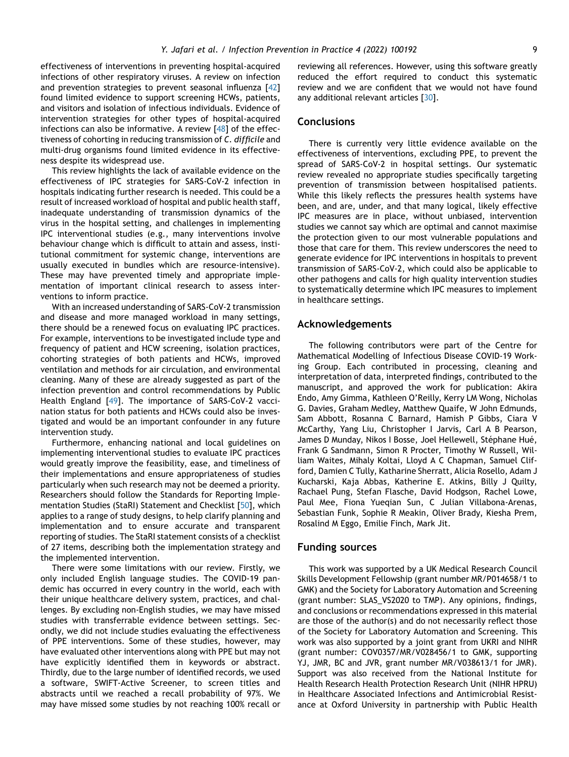effectiveness of interventions in preventing hospital-acquired infections of other respiratory viruses. A review on infection and prevention strategies to prevent seasonal influenza [[42](#page-10-19)] found limited evidence to support screening HCWs, patients, and visitors and isolation of infectious individuals. Evidence of intervention strategies for other types of hospital-acquired infections can also be informative. A review [[48](#page-10-22)] of the effectiveness of cohorting in reducing transmission of C. difficile and multi-drug organisms found limited evidence in its effectiveness despite its widespread use.

This review highlights the lack of available evidence on the effectiveness of IPC strategies for SARS-CoV-2 infection in hospitals indicating further research is needed. This could be a result of increased workload of hospital and public health staff, inadequate understanding of transmission dynamics of the virus in the hospital setting, and challenges in implementing IPC interventional studies (e.g., many interventions involve behaviour change which is difficult to attain and assess, institutional commitment for systemic change, interventions are usually executed in bundles which are resource-intensive). These may have prevented timely and appropriate implementation of important clinical research to assess interventions to inform practice.

With an increased understanding of SARS-CoV-2 transmission and disease and more managed workload in many settings, there should be a renewed focus on evaluating IPC practices. For example, interventions to be investigated include type and frequency of patient and HCW screening, isolation practices, cohorting strategies of both patients and HCWs, improved ventilation and methods for air circulation, and environmental cleaning. Many of these are already suggested as part of the infection prevention and control recommendations by Public Health England [\[49](#page-11-0)]. The importance of SARS-CoV-2 vaccination status for both patients and HCWs could also be investigated and would be an important confounder in any future intervention study.

Furthermore, enhancing national and local guidelines on implementing interventional studies to evaluate IPC practices would greatly improve the feasibility, ease, and timeliness of their implementations and ensure appropriateness of studies particularly when such research may not be deemed a priority. Researchers should follow the Standards for Reporting Implementation Studies (StaRI) Statement and Checklist [[50\]](#page-11-1), which applies to a range of study designs, to help clarify planning and implementation and to ensure accurate and transparent reporting of studies. The StaRI statement consists of a checklist of 27 items, describing both the implementation strategy and the implemented intervention.

There were some limitations with our review. Firstly, we only included English language studies. The COVID-19 pandemic has occurred in every country in the world, each with their unique healthcare delivery system, practices, and challenges. By excluding non-English studies, we may have missed studies with transferrable evidence between settings. Secondly, we did not include studies evaluating the effectiveness of PPE interventions. Some of these studies, however, may have evaluated other interventions along with PPE but may not have explicitly identified them in keywords or abstract. Thirdly, due to the large number of identified records, we used a software, SWIFT-Active Screener, to screen titles and abstracts until we reached a recall probability of 97%. We may have missed some studies by not reaching 100% recall or reviewing all references. However, using this software greatly reduced the effort required to conduct this systematic review and we are confident that we would not have found any additional relevant articles [[30](#page-10-7)].

#### **Conclusions**

There is currently very little evidence available on the effectiveness of interventions, excluding PPE, to prevent the spread of SARS-CoV-2 in hospital settings. Our systematic review revealed no appropriate studies specifically targeting prevention of transmission between hospitalised patients. While this likely reflects the pressures health systems have been, and are, under, and that many logical, likely effective IPC measures are in place, without unbiased, intervention studies we cannot say which are optimal and cannot maximise the protection given to our most vulnerable populations and those that care for them. This review underscores the need to generate evidence for IPC interventions in hospitals to prevent transmission of SARS-CoV-2, which could also be applicable to other pathogens and calls for high quality intervention studies to systematically determine which IPC measures to implement in healthcare settings.

#### Acknowledgements

The following contributors were part of the Centre for Mathematical Modelling of Infectious Disease COVID-19 Working Group. Each contributed in processing, cleaning and interpretation of data, interpreted findings, contributed to the manuscript, and approved the work for publication: Akira Endo, Amy Gimma, Kathleen O'Reilly, Kerry LM Wong, Nicholas G. Davies, Graham Medley, Matthew Quaife, W John Edmunds, Sam Abbott, Rosanna C Barnard, Hamish P Gibbs, Ciara V McCarthy, Yang Liu, Christopher I Jarvis, Carl A B Pearson, James D Munday, Nikos I Bosse, Joel Hellewell, Stéphane Hué, Frank G Sandmann, Simon R Procter, Timothy W Russell, William Waites, Mihaly Koltai, Lloyd A C Chapman, Samuel Clifford, Damien C Tully, Katharine Sherratt, Alicia Rosello, Adam J Kucharski, Kaja Abbas, Katherine E. Atkins, Billy J Quilty, Rachael Pung, Stefan Flasche, David Hodgson, Rachel Lowe, Paul Mee, Fiona Yueqian Sun, C Julian Villabona-Arenas, Sebastian Funk, Sophie R Meakin, Oliver Brady, Kiesha Prem, Rosalind M Eggo, Emilie Finch, Mark Jit.

## Funding sources

This work was supported by a UK Medical Research Council Skills Development Fellowship (grant number MR/P014658/1 to GMK) and the Society for Laboratory Automation and Screening (grant number: SLAS\_VS2020 to TMP). Any opinions, findings, and conclusions or recommendations expressed in this material are those of the author(s) and do not necessarily reflect those of the Society for Laboratory Automation and Screening. This work was also supported by a joint grant from UKRI and NIHR (grant number: COV0357/MR/V028456/1 to GMK, supporting YJ, JMR, BC and JVR, grant number MR/V038613/1 for JMR). Support was also received from the National Institute for Health Research Health Protection Research Unit (NIHR HPRU) in Healthcare Associated Infections and Antimicrobial Resistance at Oxford University in partnership with Public Health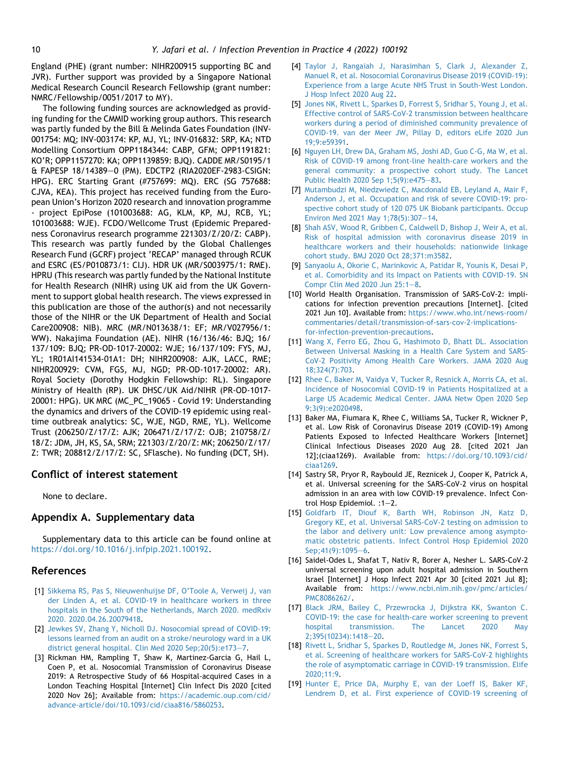England (PHE) (grant number: NIHR200915 supporting BC and JVR). Further support was provided by a Singapore National Medical Research Council Research Fellowship (grant number: NMRC/Fellowship/0051/2017 to MY).

The following funding sources are acknowledged as providing funding for the CMMID working group authors. This research was partly funded by the Bill & Melinda Gates Foundation (INV-001754: MQ; INV-003174: KP, MJ, YL; INV-016832: SRP, KA; NTD Modelling Consortium OPP1184344: CABP, GFM; OPP1191821: KO'R; OPP1157270: KA; OPP1139859: BJQ). CADDE MR/S0195/1 & FAPESP 18/14389e0 (PM). EDCTP2 (RIA2020EF-2983-CSIGN: HPG). ERC Starting Grant (#757699: MQ). ERC (SG 757688: CJVA, KEA). This project has received funding from the European Union's Horizon 2020 research and innovation programme - project EpiPose (101003688: AG, KLM, KP, MJ, RCB, YL; 101003688: WJE). FCDO/Wellcome Trust (Epidemic Preparedness Coronavirus research programme 221303/Z/20/Z: CABP). This research was partly funded by the Global Challenges Research Fund (GCRF) project 'RECAP' managed through RCUK and ESRC (ES/P010873/1: CIJ). HDR UK (MR/S003975/1: RME). HPRU (This research was partly funded by the National Institute for Health Research (NIHR) using UK aid from the UK Government to support global health research. The views expressed in this publication are those of the author(s) and not necessarily those of the NIHR or the UK Department of Health and Social Care200908: NIB). MRC (MR/N013638/1: EF; MR/V027956/1: WW). Nakajima Foundation (AE). NIHR (16/136/46: BJQ; 16/ 137/109: BJQ; PR-OD-1017-20002: WJE; 16/137/109: FYS, MJ, YL; 1R01AI141534-01A1: DH; NIHR200908: AJK, LACC, RME; NIHR200929: CVM, FGS, MJ, NGD; PR-OD-1017-20002: AR). Royal Society (Dorothy Hodgkin Fellowship: RL). Singapore Ministry of Health (RP). UK DHSC/UK Aid/NIHR (PR-OD-1017- 20001: HPG). UK MRC (MC\_PC\_19065 - Covid 19: Understanding the dynamics and drivers of the COVID-19 epidemic using realtime outbreak analytics: SC, WJE, NGD, RME, YL). Wellcome Trust (206250/Z/17/Z: AJK; 206471/Z/17/Z: OJB; 210758/Z/ 18/Z: JDM, JH, KS, SA, SRM; 221303/Z/20/Z: MK; 206250/Z/17/ Z: TWR; 208812/Z/17/Z: SC, SFlasche). No funding (DCT, SH).

# Conflict of interest statement

None to declare.

# Appendix A. Supplementary data

Supplementary data to this article can be found online at <https://doi.org/10.1016/j.infpip.2021.100192>.

# References

- <span id="page-9-0"></span>[1] [Sikkema RS, Pas S, Nieuwenhuijse DF, O'Toole A, Verweij J, van](http://refhub.elsevier.com/S2590-0889(21)00081-0/sref1) [der Linden A, et al. COVID-19 in healthcare workers in three](http://refhub.elsevier.com/S2590-0889(21)00081-0/sref1) [hospitals in the South of the Netherlands, March 2020. medRxiv](http://refhub.elsevier.com/S2590-0889(21)00081-0/sref1) [2020. 2020.04.26.20079418](http://refhub.elsevier.com/S2590-0889(21)00081-0/sref1).
- <span id="page-9-10"></span>[2] [Jewkes SV, Zhang Y, Nicholl DJ. Nosocomial spread of COVID-19:](http://refhub.elsevier.com/S2590-0889(21)00081-0/sref2) [lessons learned from an audit on a stroke/neurology ward in a UK](http://refhub.elsevier.com/S2590-0889(21)00081-0/sref2) [district general hospital. Clin Med 2020 Sep;20\(5\):e173](http://refhub.elsevier.com/S2590-0889(21)00081-0/sref2)-[7.](http://refhub.elsevier.com/S2590-0889(21)00081-0/sref2)
- <span id="page-9-4"></span>[3] Rickman HM, Rampling T, Shaw K, Martinez-Garcia G, Hail L, Coen P, et al. Nosocomial Transmission of Coronavirus Disease 2019: A Retrospective Study of 66 Hospital-acquired Cases in a London Teaching Hospital [Internet] Clin Infect Dis 2020 [cited 2020 Nov 26]; Available from: [https://academic.oup.com/cid/](https://academic.oup.com/cid/advance-article/doi/10.1093/cid/ciaa816/5860253) [advance-article/doi/10.1093/cid/ciaa816/5860253](https://academic.oup.com/cid/advance-article/doi/10.1093/cid/ciaa816/5860253).
- [4] [Taylor J, Rangaiah J, Narasimhan S, Clark J, Alexander Z,](http://refhub.elsevier.com/S2590-0889(21)00081-0/sref4) [Manuel R, et al. Nosocomial Coronavirus Disease 2019 \(COVID-19\):](http://refhub.elsevier.com/S2590-0889(21)00081-0/sref4) [Experience from a large Acute NHS Trust in South-West London.](http://refhub.elsevier.com/S2590-0889(21)00081-0/sref4) [J Hosp Infect 2020 Aug 22](http://refhub.elsevier.com/S2590-0889(21)00081-0/sref4).
- [5] [Jones NK, Rivett L, Sparkes D, Forrest S, Sridhar S, Young J, et al.](http://refhub.elsevier.com/S2590-0889(21)00081-0/sref5) [Effective control of SARS-CoV-2 transmission between healthcare](http://refhub.elsevier.com/S2590-0889(21)00081-0/sref5) [workers during a period of diminished community prevalence of](http://refhub.elsevier.com/S2590-0889(21)00081-0/sref5) [COVID-19. van der Meer JW, Pillay D, editors eLife 2020 Jun](http://refhub.elsevier.com/S2590-0889(21)00081-0/sref5) [19;9:e59391](http://refhub.elsevier.com/S2590-0889(21)00081-0/sref5).
- <span id="page-9-1"></span>[6] [Nguyen LH, Drew DA, Graham MS, Joshi AD, Guo C-G, Ma W, et al.](http://refhub.elsevier.com/S2590-0889(21)00081-0/sref6) [Risk of COVID-19 among front-line health-care workers and the](http://refhub.elsevier.com/S2590-0889(21)00081-0/sref6) [general community: a prospective cohort study. The Lancet](http://refhub.elsevier.com/S2590-0889(21)00081-0/sref6) [Public Health 2020 Sep 1;5\(9\):e475](http://refhub.elsevier.com/S2590-0889(21)00081-0/sref6)-[83.](http://refhub.elsevier.com/S2590-0889(21)00081-0/sref6)
- <span id="page-9-2"></span>[7] [Mutambudzi M, Niedzwiedz C, Macdonald EB, Leyland A, Mair F,](http://refhub.elsevier.com/S2590-0889(21)00081-0/sref7) [Anderson J, et al. Occupation and risk of severe COVID-19: pro](http://refhub.elsevier.com/S2590-0889(21)00081-0/sref7)[spective cohort study of 120 075 UK Biobank participants. Occup](http://refhub.elsevier.com/S2590-0889(21)00081-0/sref7) [Environ Med 2021 May 1;78\(5\):307](http://refhub.elsevier.com/S2590-0889(21)00081-0/sref7)-[14.](http://refhub.elsevier.com/S2590-0889(21)00081-0/sref7)
- <span id="page-9-3"></span>[8] [Shah ASV, Wood R, Gribben C, Caldwell D, Bishop J, Weir A, et al.](http://refhub.elsevier.com/S2590-0889(21)00081-0/sref8) [Risk of hospital admission with coronavirus disease 2019 in](http://refhub.elsevier.com/S2590-0889(21)00081-0/sref8) [healthcare workers and their households: nationwide linkage](http://refhub.elsevier.com/S2590-0889(21)00081-0/sref8) [cohort study. BMJ 2020 Oct 28;371:m3582](http://refhub.elsevier.com/S2590-0889(21)00081-0/sref8).
- <span id="page-9-5"></span>[9] [Sanyaolu A, Okorie C, Marinkovic A, Patidar R, Younis K, Desai P,](http://refhub.elsevier.com/S2590-0889(21)00081-0/sref9) [et al. Comorbidity and its Impact on Patients with COVID-19. SN](http://refhub.elsevier.com/S2590-0889(21)00081-0/sref9) Compr Clin Med 2020 Jun  $25:1-8$  $25:1-8$ .
- <span id="page-9-6"></span>[10] World Health Organisation. Transmission of SARS-CoV-2: implications for infection prevention precautions [Internet]. [cited 2021 Jun 10]. Available from: [https://www.who.int/news-room/](https://www.who.int/news-room/commentaries/detail/transmission-of-sars-cov-2-implications-for-infection-prevention-precautions) [commentaries/detail/transmission-of-sars-cov-2-implications](https://www.who.int/news-room/commentaries/detail/transmission-of-sars-cov-2-implications-for-infection-prevention-precautions)[for-infection-prevention-precautions](https://www.who.int/news-room/commentaries/detail/transmission-of-sars-cov-2-implications-for-infection-prevention-precautions).
- <span id="page-9-7"></span>[11] [Wang X, Ferro EG, Zhou G, Hashimoto D, Bhatt DL. Association](http://refhub.elsevier.com/S2590-0889(21)00081-0/sref11) [Between Universal Masking in a Health Care System and SARS-](http://refhub.elsevier.com/S2590-0889(21)00081-0/sref11)[CoV-2 Positivity Among Health Care Workers. JAMA 2020 Aug](http://refhub.elsevier.com/S2590-0889(21)00081-0/sref11) [18;324\(7\):703.](http://refhub.elsevier.com/S2590-0889(21)00081-0/sref11)
- [12] [Rhee C, Baker M, Vaidya V, Tucker R, Resnick A, Morris CA, et al.](http://refhub.elsevier.com/S2590-0889(21)00081-0/sref12) [Incidence of Nosocomial COVID-19 in Patients Hospitalized at a](http://refhub.elsevier.com/S2590-0889(21)00081-0/sref12) [Large US Academic Medical Center. JAMA Netw Open 2020 Sep](http://refhub.elsevier.com/S2590-0889(21)00081-0/sref12) [9;3\(9\):e2020498](http://refhub.elsevier.com/S2590-0889(21)00081-0/sref12).
- [13] Baker MA, Fiumara K, Rhee C, Williams SA, Tucker R, Wickner P, et al. Low Risk of Coronavirus Disease 2019 (COVID-19) Among Patients Exposed to Infected Healthcare Workers [Internet] Clinical Infectious Diseases 2020 Aug 28. [cited 2021 Jan 12];(ciaa1269). Available from: [https://doi.org/10.1093/cid/](https://doi.org/10.1093/cid/ciaa1269) [ciaa1269](https://doi.org/10.1093/cid/ciaa1269).
- <span id="page-9-8"></span>[14] Sastry SR, Pryor R, Raybould JE, Reznicek J, Cooper K, Patrick A, et al. Universal screening for the SARS-CoV-2 virus on hospital admission in an area with low COVID-19 prevalence. Infect Control Hosp Epidemiol.  $:1-2$ .
- [15] [Goldfarb IT, Diouf K, Barth WH, Robinson JN, Katz D,](http://refhub.elsevier.com/S2590-0889(21)00081-0/sref15) [Gregory KE, et al. Universal SARS-CoV-2 testing on admission to](http://refhub.elsevier.com/S2590-0889(21)00081-0/sref15) [the labor and delivery unit: Low prevalence among asympto](http://refhub.elsevier.com/S2590-0889(21)00081-0/sref15)[matic obstetric patients. Infect Control Hosp Epidemiol 2020](http://refhub.elsevier.com/S2590-0889(21)00081-0/sref15) [Sep;41\(9\):1095](http://refhub.elsevier.com/S2590-0889(21)00081-0/sref15)-[6.](http://refhub.elsevier.com/S2590-0889(21)00081-0/sref15)
- [16] Saidel-Odes L, Shafat T, Nativ R, Borer A, Nesher L. SARS-CoV-2 universal screening upon adult hospital admission in Southern Israel [Internet] J Hosp Infect 2021 Apr 30 [cited 2021 Jul 8]; Available from: [https://www.ncbi.nlm.nih.gov/pmc/articles/](https://www.ncbi.nlm.nih.gov/pmc/articles/PMC8086262/) [PMC8086262/.](https://www.ncbi.nlm.nih.gov/pmc/articles/PMC8086262/)
- <span id="page-9-9"></span>[17] [Black JRM, Bailey C, Przewrocka J, Dijkstra KK, Swanton C.](http://refhub.elsevier.com/S2590-0889(21)00081-0/sref17) [COVID-19: the case for health-care worker screening to prevent](http://refhub.elsevier.com/S2590-0889(21)00081-0/sref17) [hospital transmission. The Lancet 2020 May](http://refhub.elsevier.com/S2590-0889(21)00081-0/sref17) 2:395(10234):1418-[20.](http://refhub.elsevier.com/S2590-0889(21)00081-0/sref17)
- <span id="page-9-11"></span>[18] [Rivett L, Sridhar S, Sparkes D, Routledge M, Jones NK, Forrest S,](http://refhub.elsevier.com/S2590-0889(21)00081-0/sref18) [et al. Screening of healthcare workers for SARS-CoV-2 highlights](http://refhub.elsevier.com/S2590-0889(21)00081-0/sref18) [the role of asymptomatic carriage in COVID-19 transmission. Elife](http://refhub.elsevier.com/S2590-0889(21)00081-0/sref18) [2020;11:9.](http://refhub.elsevier.com/S2590-0889(21)00081-0/sref18)
- <span id="page-9-12"></span>[19] [Hunter E, Price DA, Murphy E, van der Loeff IS, Baker KF,](http://refhub.elsevier.com/S2590-0889(21)00081-0/sref19) [Lendrem D, et al. First experience of COVID-19 screening of](http://refhub.elsevier.com/S2590-0889(21)00081-0/sref19)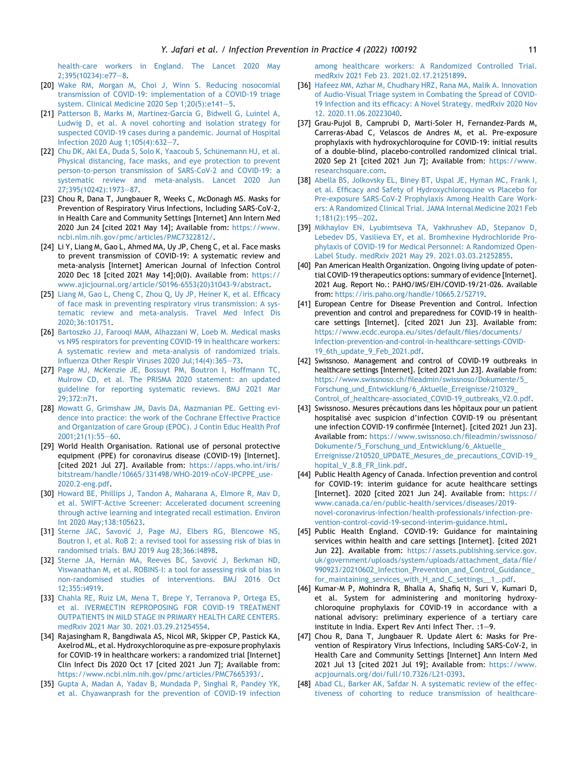[health-care workers in England. The Lancet 2020 May](http://refhub.elsevier.com/S2590-0889(21)00081-0/sref19)  $2;395(10234):e77-8.$  $2;395(10234):e77-8.$  $2;395(10234):e77-8.$  $2;395(10234):e77-8.$ 

- <span id="page-10-0"></span>[20] [Wake RM, Morgan M, Choi J, Winn S. Reducing nosocomial](http://refhub.elsevier.com/S2590-0889(21)00081-0/sref20) [transmission of COVID-19: implementation of a COVID-19 triage](http://refhub.elsevier.com/S2590-0889(21)00081-0/sref20) system. Clinical Medicine 2020 Sep  $1:20(5):e141-5$ .
- <span id="page-10-1"></span>[21] [Patterson B, Marks M, Martinez-Garcia G, Bidwell G, Luintel A,](http://refhub.elsevier.com/S2590-0889(21)00081-0/sref21) [Ludwig D, et al. A novel cohorting and isolation strategy for](http://refhub.elsevier.com/S2590-0889(21)00081-0/sref21) [suspected COVID-19 cases during a pandemic. Journal of Hospital](http://refhub.elsevier.com/S2590-0889(21)00081-0/sref21) Infection 2020 Aug  $1;105(4):632-7$  $1;105(4):632-7$ .
- <span id="page-10-2"></span>[22] Chu DK, Akl EA, Duda S, Solo K, Yaacoub S, Schünemann HJ, et al. [Physical distancing, face masks, and eye protection to prevent](http://refhub.elsevier.com/S2590-0889(21)00081-0/sref22) [person-to-person transmission of SARS-CoV-2 and COVID-19: a](http://refhub.elsevier.com/S2590-0889(21)00081-0/sref22) [systematic review and meta-analysis. Lancet 2020 Jun](http://refhub.elsevier.com/S2590-0889(21)00081-0/sref22) [27;395\(10242\):1973](http://refhub.elsevier.com/S2590-0889(21)00081-0/sref22)-[87](http://refhub.elsevier.com/S2590-0889(21)00081-0/sref22).
- <span id="page-10-3"></span>[23] Chou R, Dana T, Jungbauer R, Weeks C, McDonagh MS. Masks for Prevention of Respiratory Virus Infections, Including SARS-CoV-2, in Health Care and Community Settings [Internet] Ann Intern Med 2020 Jun 24 [cited 2021 May 14]; Available from: [https://www.](https://www.ncbi.nlm.nih.gov/pmc/articles/PMC7322812/) [ncbi.nlm.nih.gov/pmc/articles/PMC7322812/.](https://www.ncbi.nlm.nih.gov/pmc/articles/PMC7322812/)
- [24] Li Y, Liang M, Gao L, Ahmed MA, Uy JP, Cheng C, et al. Face masks to prevent transmission of COVID-19: A systematic review and meta-analysis [Internet] American Journal of Infection Control 2020 Dec 18 [cited 2021 May 14];0(0). Available from: [https://](https://www.ajicjournal.org/article/S0196-6553(20)31043-9/abstract) [www.ajicjournal.org/article/S0196-6553\(20\)31043-9/abstract](https://www.ajicjournal.org/article/S0196-6553(20)31043-9/abstract).
- [25] [Liang M, Gao L, Cheng C, Zhou Q, Uy JP, Heiner K, et al. Efficacy](http://refhub.elsevier.com/S2590-0889(21)00081-0/sref25) [of face mask in preventing respiratory virus transmission: A sys](http://refhub.elsevier.com/S2590-0889(21)00081-0/sref25)[tematic review and meta-analysis. Travel Med Infect Dis](http://refhub.elsevier.com/S2590-0889(21)00081-0/sref25) [2020;36:101751](http://refhub.elsevier.com/S2590-0889(21)00081-0/sref25).
- [26] [Bartoszko JJ, Farooqi MAM, Alhazzani W, Loeb M. Medical masks](http://refhub.elsevier.com/S2590-0889(21)00081-0/sref26) [vs N95 respirators for preventing COVID-19 in healthcare workers:](http://refhub.elsevier.com/S2590-0889(21)00081-0/sref26) [A systematic review and meta-analysis of randomized trials.](http://refhub.elsevier.com/S2590-0889(21)00081-0/sref26) [Influenza Other Respir Viruses 2020 Jul;14\(4\):365](http://refhub.elsevier.com/S2590-0889(21)00081-0/sref26)-[73.](http://refhub.elsevier.com/S2590-0889(21)00081-0/sref26)
- <span id="page-10-4"></span>[27] [Page MJ, McKenzie JE, Bossuyt PM, Boutron I, Hoffmann TC,](http://refhub.elsevier.com/S2590-0889(21)00081-0/sref27) [Mulrow CD, et al. The PRISMA 2020 statement: an updated](http://refhub.elsevier.com/S2590-0889(21)00081-0/sref27) [guideline for reporting systematic reviews. BMJ 2021 Mar](http://refhub.elsevier.com/S2590-0889(21)00081-0/sref27) [29;372:n71.](http://refhub.elsevier.com/S2590-0889(21)00081-0/sref27)
- <span id="page-10-5"></span>[28] [Mowatt G, Grimshaw JM, Davis DA, Mazmanian PE. Getting evi](http://refhub.elsevier.com/S2590-0889(21)00081-0/sref28)[dence into practice: the work of the Cochrane Effective Practice](http://refhub.elsevier.com/S2590-0889(21)00081-0/sref28) [and Organization of care Group \(EPOC\). J Contin Educ Health Prof](http://refhub.elsevier.com/S2590-0889(21)00081-0/sref28)  $2001:21(1):55-60.$  $2001:21(1):55-60.$
- <span id="page-10-6"></span>[29] World Health Organisation. Rational use of personal protective equipment (PPE) for coronavirus disease (COVID-19) [Internet]. [cited 2021 Jul 27]. Available from: [https://apps.who.int/iris/](https://apps.who.int/iris/bitstream/handle/10665/331498/WHO-2019-nCoV-IPCPPE_use-2020.2-eng.pdf) [bitstream/handle/10665/331498/WHO-2019-nCoV-IPCPPE\\_use-](https://apps.who.int/iris/bitstream/handle/10665/331498/WHO-2019-nCoV-IPCPPE_use-2020.2-eng.pdf)[2020.2-eng.pdf.](https://apps.who.int/iris/bitstream/handle/10665/331498/WHO-2019-nCoV-IPCPPE_use-2020.2-eng.pdf)
- <span id="page-10-7"></span>[30] [Howard BE, Phillips J, Tandon A, Maharana A, Elmore R, Mav D,](http://refhub.elsevier.com/S2590-0889(21)00081-0/sref30) [et al. SWIFT-Active Screener: Accelerated document screening](http://refhub.elsevier.com/S2590-0889(21)00081-0/sref30) [through active learning and integrated recall estimation. Environ](http://refhub.elsevier.com/S2590-0889(21)00081-0/sref30) [Int 2020 May;138:105623](http://refhub.elsevier.com/S2590-0889(21)00081-0/sref30).
- <span id="page-10-8"></span>[31] [Sterne JAC, Savovi](http://refhub.elsevier.com/S2590-0889(21)00081-0/sref31)ć [J, Page MJ, Elbers RG, Blencowe NS,](http://refhub.elsevier.com/S2590-0889(21)00081-0/sref31) [Boutron I, et al. RoB 2: a revised tool for assessing risk of bias in](http://refhub.elsevier.com/S2590-0889(21)00081-0/sref31) [randomised trials. BMJ 2019 Aug 28;366:l4898](http://refhub.elsevier.com/S2590-0889(21)00081-0/sref31).
- <span id="page-10-9"></span>[32] Sterne JA, Hernán MA, Reeves BC, Savović [J, Berkman ND,](http://refhub.elsevier.com/S2590-0889(21)00081-0/sref32) [Viswanathan M, et al. ROBINS-I: a tool for assessing risk of bias in](http://refhub.elsevier.com/S2590-0889(21)00081-0/sref32) [non-randomised studies of interventions. BMJ 2016 Oct](http://refhub.elsevier.com/S2590-0889(21)00081-0/sref32)  $12.355 \cdot i4919$
- <span id="page-10-10"></span>[33] [Chahla RE, Ruiz LM, Mena T, Brepe Y, Terranova P, Ortega ES,](http://refhub.elsevier.com/S2590-0889(21)00081-0/sref33) [et al. IVERMECTIN REPROPOSING FOR COVID-19 TREATMENT](http://refhub.elsevier.com/S2590-0889(21)00081-0/sref33) [OUTPATIENTS IN MILD STAGE IN PRIMARY HEALTH CARE CENTERS.](http://refhub.elsevier.com/S2590-0889(21)00081-0/sref33) [medRxiv 2021 Mar 30. 2021.03.29.21254554.](http://refhub.elsevier.com/S2590-0889(21)00081-0/sref33)
- <span id="page-10-11"></span>[34] Rajasingham R, Bangdiwala AS, Nicol MR, Skipper CP, Pastick KA, Axelrod ML, et al. Hydroxychloroquine as pre-exposure prophylaxis for COVID-19 in healthcare workers: a randomized trial [Internet] Clin Infect Dis 2020 Oct 17 [cited 2021 Jun 7]; Available from: <https://www.ncbi.nlm.nih.gov/pmc/articles/PMC7665393/>.
- <span id="page-10-12"></span>[35] [Gupta A, Madan A, Yadav B, Mundada P, Singhal R, Pandey YK,](http://refhub.elsevier.com/S2590-0889(21)00081-0/sref35) [et al. Chyawanprash for the prevention of COVID-19 infection](http://refhub.elsevier.com/S2590-0889(21)00081-0/sref35)

[among healthcare workers: A Randomized Controlled Trial.](http://refhub.elsevier.com/S2590-0889(21)00081-0/sref35) [medRxiv 2021 Feb 23. 2021.02.17.21251899](http://refhub.elsevier.com/S2590-0889(21)00081-0/sref35).

- <span id="page-10-13"></span>[36] [Hafeez MM, Azhar M, Chudhary HRZ, Rana MA, Malik A. Innovation](http://refhub.elsevier.com/S2590-0889(21)00081-0/sref36) [of Audio-Visual Triage system in Combating the Spread of COVID-](http://refhub.elsevier.com/S2590-0889(21)00081-0/sref36)[19 Infection and its efficacy: A Novel Strategy. medRxiv 2020 Nov](http://refhub.elsevier.com/S2590-0889(21)00081-0/sref36) [12. 2020.11.06.20223040](http://refhub.elsevier.com/S2590-0889(21)00081-0/sref36).
- <span id="page-10-14"></span>[37] Grau-Pujol B, Camprubi D, Marti-Soler H, Fernandez-Pards M, Carreras-Abad C, Velascos de Andres M, et al. Pre-exposure prophylaxis with hydroxychloroquine for COVID-19: initial results of a double-blind, placebo-controlled randomized clinical trial. 2020 Sep 21 [cited 2021 Jun 7]; Available from: [https://www.](https://www.researchsquare.com) [researchsquare.com.](https://www.researchsquare.com)
- <span id="page-10-15"></span>[38] [Abella BS, Jolkovsky EL, Biney BT, Uspal JE, Hyman MC, Frank I,](http://refhub.elsevier.com/S2590-0889(21)00081-0/sref38) [et al. Efficacy and Safety of Hydroxychloroquine vs Placebo for](http://refhub.elsevier.com/S2590-0889(21)00081-0/sref38) [Pre-exposure SARS-CoV-2 Prophylaxis Among Health Care Work](http://refhub.elsevier.com/S2590-0889(21)00081-0/sref38)[ers: A Randomized Clinical Trial. JAMA Internal Medicine 2021 Feb](http://refhub.elsevier.com/S2590-0889(21)00081-0/sref38)  $1:181(2):195-202$
- <span id="page-10-16"></span>[39] [Mikhaylov EN, Lyubimtseva TA, Vakhrushev AD, Stepanov D,](http://refhub.elsevier.com/S2590-0889(21)00081-0/sref39) [Lebedev DS, Vasilieva EY, et al. Bromhexine Hydrochloride Pro](http://refhub.elsevier.com/S2590-0889(21)00081-0/sref39)[phylaxis of COVID-19 for Medical Personnel: A Randomized Open-](http://refhub.elsevier.com/S2590-0889(21)00081-0/sref39)[Label Study. medRxiv 2021 May 29. 2021.03.03.21252855](http://refhub.elsevier.com/S2590-0889(21)00081-0/sref39).
- <span id="page-10-17"></span>[40] Pan American Health Organization. Ongoing living update of potential COVID-19 therapeutics options: summary of evidence [Internet]. 2021 Aug. Report No.: PAHO/IMS/EIH/COVID-19/21-026. Available from: [https://iris.paho.org/handle/10665.2/52719.](https://iris.paho.org/handle/10665.2/52719)
- <span id="page-10-18"></span>[41] European Centre for Disease Prevention and Control. Infection prevention and control and preparedness for COVID-19 in healthcare settings [Internet]. [cited 2021 Jun 23]. Available from: [https://www.ecdc.europa.eu/sites/default/files/documents/](https://www.ecdc.europa.eu/sites/default/files/documents/Infection-prevention-and-control-in-healthcare-settings-COVID-19_6th_update_9_Feb_2021.pdf) [Infection-prevention-and-control-in-healthcare-settings-COVID-](https://www.ecdc.europa.eu/sites/default/files/documents/Infection-prevention-and-control-in-healthcare-settings-COVID-19_6th_update_9_Feb_2021.pdf)[19\\_6th\\_update\\_9\\_Feb\\_2021.pdf](https://www.ecdc.europa.eu/sites/default/files/documents/Infection-prevention-and-control-in-healthcare-settings-COVID-19_6th_update_9_Feb_2021.pdf).
- <span id="page-10-19"></span>[42] Swissnoso. Management and control of COVID-19 outbreaks in healthcare settings [Internet]. [cited 2021 Jun 23]. Available from: [https://www.swissnoso.ch/fileadmin/swissnoso/Dokumente/5\\_](https://www.swissnoso.ch/fileadmin/swissnoso/Dokumente/5_Forschung_und_Entwicklung/6_Aktuelle_Erreignisse/210329_Control_of_healthcare-associated_COVID-19_outbreaks_V2.0.pdf) [Forschung\\_und\\_Entwicklung/6\\_Aktuelle\\_Erreignisse/210329\\_](https://www.swissnoso.ch/fileadmin/swissnoso/Dokumente/5_Forschung_und_Entwicklung/6_Aktuelle_Erreignisse/210329_Control_of_healthcare-associated_COVID-19_outbreaks_V2.0.pdf) [Control\\_of\\_healthcare-associated\\_COVID-19\\_outbreaks\\_V2.0.pdf.](https://www.swissnoso.ch/fileadmin/swissnoso/Dokumente/5_Forschung_und_Entwicklung/6_Aktuelle_Erreignisse/210329_Control_of_healthcare-associated_COVID-19_outbreaks_V2.0.pdf)
- [43] Swissnoso. Mesures précautions dans les hôpitaux pour un patient hospitalisé avec suspicion d'infection COVID-19 ou présentant une infection COVID-19 confirmée [Internet]. [cited 2021 Jun 23]. Available from: [https://www.swissnoso.ch/fileadmin/swissnoso/](https://www.swissnoso.ch/fileadmin/swissnoso/Dokumente/5_Forschung_und_Entwicklung/6_Aktuelle_Erreignisse/210520_UPDATE_Mesures_de_precautions_COVID-19_hopital_V_8.8_FR_link.pdf) [Dokumente/5\\_Forschung\\_und\\_Entwicklung/6\\_Aktuelle\\_](https://www.swissnoso.ch/fileadmin/swissnoso/Dokumente/5_Forschung_und_Entwicklung/6_Aktuelle_Erreignisse/210520_UPDATE_Mesures_de_precautions_COVID-19_hopital_V_8.8_FR_link.pdf) [Erreignisse/210520\\_UPDATE\\_Mesures\\_de\\_precautions\\_COVID-19\\_](https://www.swissnoso.ch/fileadmin/swissnoso/Dokumente/5_Forschung_und_Entwicklung/6_Aktuelle_Erreignisse/210520_UPDATE_Mesures_de_precautions_COVID-19_hopital_V_8.8_FR_link.pdf) [hopital\\_V\\_8.8\\_FR\\_link.pdf.](https://www.swissnoso.ch/fileadmin/swissnoso/Dokumente/5_Forschung_und_Entwicklung/6_Aktuelle_Erreignisse/210520_UPDATE_Mesures_de_precautions_COVID-19_hopital_V_8.8_FR_link.pdf)
- [44] Public Health Agency of Canada. Infection prevention and control for COVID-19: interim guidance for acute healthcare settings [Internet]. 2020 [cited 2021 Jun 24]. Available from: [https://](https://www.canada.ca/en/public-health/services/diseases/2019-novel-coronavirus-infection/health-professionals/infection-prevention-control-covid-19-second-interim-guidance.html) [www.canada.ca/en/public-health/services/diseases/2019](https://www.canada.ca/en/public-health/services/diseases/2019-novel-coronavirus-infection/health-professionals/infection-prevention-control-covid-19-second-interim-guidance.html) [novel-coronavirus-infection/health-professionals/infection-pre](https://www.canada.ca/en/public-health/services/diseases/2019-novel-coronavirus-infection/health-professionals/infection-prevention-control-covid-19-second-interim-guidance.html)[vention-control-covid-19-second-interim-guidance.html.](https://www.canada.ca/en/public-health/services/diseases/2019-novel-coronavirus-infection/health-professionals/infection-prevention-control-covid-19-second-interim-guidance.html)
- [45] Public Health England. COVID-19: Guidance for maintaining services within health and care settings [Internet]. [cited 2021 Jun 22]. Available from: [https://assets.publishing.service.gov.](https://assets.publishing.service.gov.uk/government/uploads/system/uploads/attachment_data/file/990923/20210602_Infection_Prevention_and_Control_Guidance_for_maintaining_services_with_H_and_C_settings__1_.pdf) [uk/government/uploads/system/uploads/attachment\\_data/file/](https://assets.publishing.service.gov.uk/government/uploads/system/uploads/attachment_data/file/990923/20210602_Infection_Prevention_and_Control_Guidance_for_maintaining_services_with_H_and_C_settings__1_.pdf) [990923/20210602\\_Infection\\_Prevention\\_and\\_Control\\_Guidance\\_](https://assets.publishing.service.gov.uk/government/uploads/system/uploads/attachment_data/file/990923/20210602_Infection_Prevention_and_Control_Guidance_for_maintaining_services_with_H_and_C_settings__1_.pdf) [for\\_maintaining\\_services\\_with\\_H\\_and\\_C\\_settings\\_\\_1\\_.pdf](https://assets.publishing.service.gov.uk/government/uploads/system/uploads/attachment_data/file/990923/20210602_Infection_Prevention_and_Control_Guidance_for_maintaining_services_with_H_and_C_settings__1_.pdf).
- <span id="page-10-20"></span>[46] Kumar-M P, Mohindra R, Bhalla A, Shafiq N, Suri V, Kumari D, et al. System for administering and monitoring hydroxychloroquine prophylaxis for COVID-19 in accordance with a national advisory: preliminary experience of a tertiary care institute in India. Expert Rev Anti Infect Ther. : 1-9.
- <span id="page-10-21"></span>[47] Chou R, Dana T, Jungbauer R. Update Alert 6: Masks for Prevention of Respiratory Virus Infections, Including SARS-CoV-2, in Health Care and Community Settings [Internet] Ann Intern Med 2021 Jul 13 [cited 2021 Jul 19]; Available from: [https://www.](https://www.acpjournals.org/doi/full/10.7326/L21-0393) [acpjournals.org/doi/full/10.7326/L21-0393](https://www.acpjournals.org/doi/full/10.7326/L21-0393).
- <span id="page-10-22"></span>[48] [Abad CL, Barker AK, Safdar N. A systematic review of the effec](http://refhub.elsevier.com/S2590-0889(21)00081-0/sref48)[tiveness of cohorting to reduce transmission of healthcare-](http://refhub.elsevier.com/S2590-0889(21)00081-0/sref48)